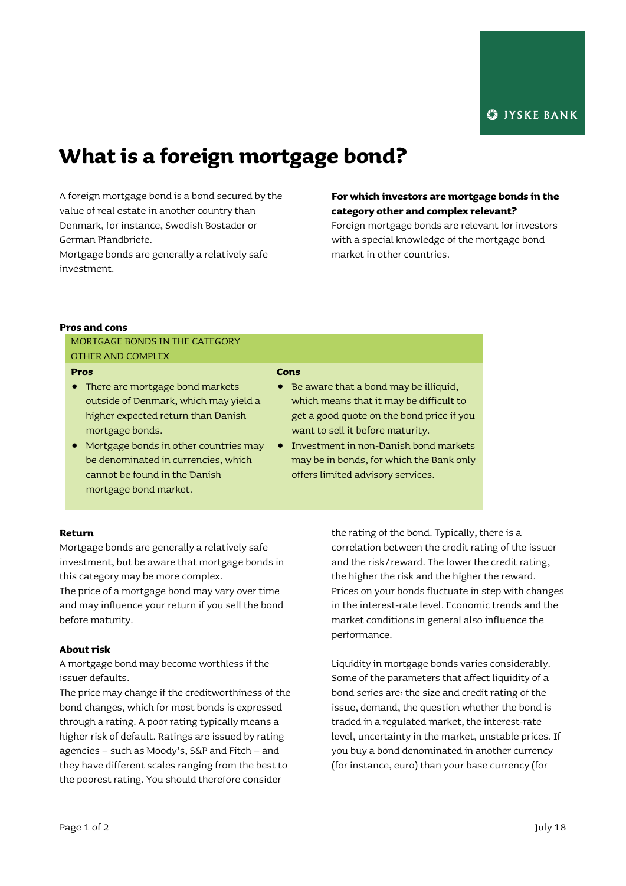# **What is a foreign mortgage bond?**

A foreign mortgage bond is a bond secured by the value of real estate in another country than Denmark, for instance, Swedish Bostader or German Pfandbriefe.

Mortgage bonds are generally a relatively safe investment.

## **For which investors are mortgage bonds in the category other and complex relevant?**

Foreign mortgage bonds are relevant for investors with a special knowledge of the mortgage bond market in other countries.

## **Pros and cons**

MORTGAGE BONDS IN THE CATEGORY OTHER AND COMPLEX

## **Pros**

- There are mortgage bond markets outside of Denmark, which may yield a higher expected return than Danish mortgage bonds.
- Mortgage bonds in other countries may be denominated in currencies, which cannot be found in the Danish mortgage bond market.

#### **Cons**

- Be aware that a bond may be illiquid, which means that it may be difficult to get a good quote on the bond price if you want to sell it before maturity.
- **•** Investment in non-Danish bond markets may be in bonds, for which the Bank only offers limited advisory services.

## **Return**

Mortgage bonds are generally a relatively safe investment, but be aware that mortgage bonds in this category may be more complex.

The price of a mortgage bond may vary over time and may influence your return if you sell the bond before maturity.

## **About risk**

A mortgage bond may become worthless if the issuer defaults.

The price may change if the creditworthiness of the bond changes, which for most bonds is expressed through a rating. A poor rating typically means a higher risk of default. Ratings are issued by rating agencies – such as Moody's, S&P and Fitch – and they have different scales ranging from the best to the poorest rating. You should therefore consider

the rating of the bond. Typically, there is a correlation between the credit rating of the issuer and the risk/reward. The lower the credit rating, the higher the risk and the higher the reward. Prices on your bonds fluctuate in step with changes in the interest-rate level. Economic trends and the market conditions in general also influence the performance.

Liquidity in mortgage bonds varies considerably. Some of the parameters that affect liquidity of a bond series are: the size and credit rating of the issue, demand, the question whether the bond is traded in a regulated market, the interest-rate level, uncertainty in the market, unstable prices. If you buy a bond denominated in another currency (for instance, euro) than your base currency (for